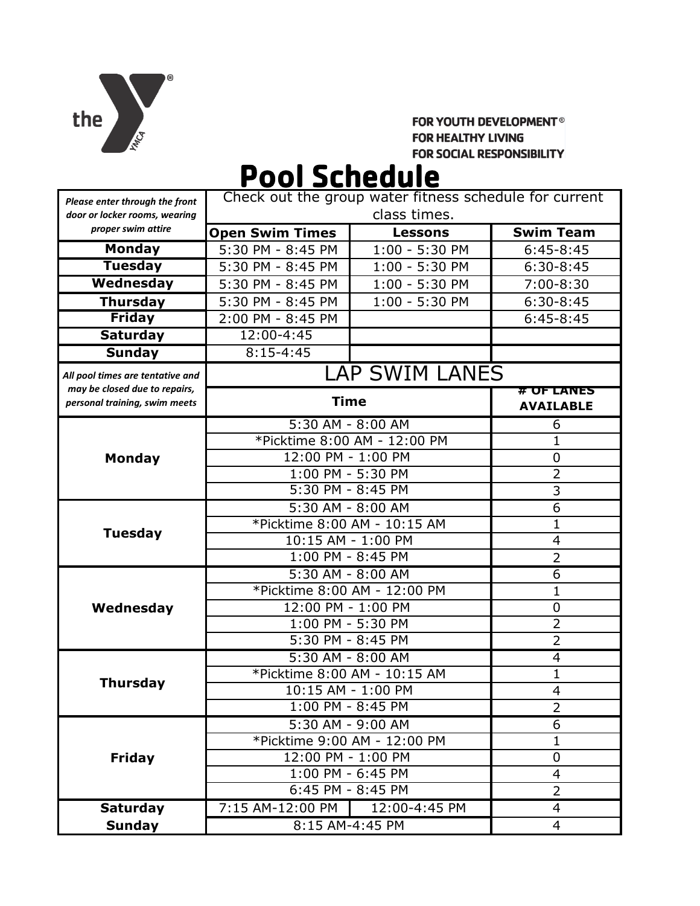

# **FOR YOUTH DEVELOPMENT<sup>®</sup> FOR HEALTHY LIVING** FOR SOCIAL RESPONSIBILITY

# Pool Schedule

| Please enter through the front                                 | Check out the group water fitness schedule for current |                |                                |
|----------------------------------------------------------------|--------------------------------------------------------|----------------|--------------------------------|
| door or locker rooms, wearing<br>proper swim attire            | class times.                                           |                |                                |
|                                                                | <b>Open Swim Times</b>                                 | <b>Lessons</b> | <b>Swim Team</b>               |
| <b>Monday</b>                                                  | 5:30 PM - 8:45 PM                                      | 1:00 - 5:30 PM | $6:45-8:45$                    |
| <b>Tuesday</b>                                                 | 5:30 PM - 8:45 PM                                      | 1:00 - 5:30 PM | $6:30-8:45$                    |
| Wednesday                                                      | 5:30 PM - 8:45 PM                                      | 1:00 - 5:30 PM | 7:00-8:30                      |
| <b>Thursday</b>                                                | 5:30 PM - 8:45 PM                                      | 1:00 - 5:30 PM | $6:30-8:45$                    |
| <b>Friday</b>                                                  | 2:00 PM - 8:45 PM                                      |                | $6:45-8:45$                    |
| <b>Saturday</b>                                                | 12:00-4:45                                             |                |                                |
| <b>Sunday</b>                                                  | $8:15 - 4:45$                                          |                |                                |
| All pool times are tentative and                               | <b>LAP SWIM LANES</b>                                  |                |                                |
| may be closed due to repairs,<br>personal training, swim meets | <b>Time</b>                                            |                | # OF LANES<br><b>AVAILABLE</b> |
| <b>Monday</b>                                                  | 5:30 AM - 8:00 AM                                      |                | 6                              |
|                                                                | *Picktime 8:00 AM - 12:00 PM                           |                | $\mathbf{1}$                   |
|                                                                | 12:00 PM - 1:00 PM                                     |                | 0                              |
|                                                                | 1:00 PM - 5:30 PM                                      |                | $\overline{2}$                 |
|                                                                | 5:30 PM - 8:45 PM                                      |                | 3                              |
| <b>Tuesday</b>                                                 | 5:30 AM - 8:00 AM                                      |                | 6                              |
|                                                                | *Picktime 8:00 AM - 10:15 AM                           |                | $\mathbf{1}$                   |
|                                                                | 10:15 AM - 1:00 PM                                     |                | 4                              |
|                                                                | 1:00 PM - 8:45 PM                                      |                | $\overline{2}$                 |
| Wednesday                                                      | 5:30 AM - 8:00 AM                                      |                | 6                              |
|                                                                | *Picktime 8:00 AM - 12:00 PM                           |                | $\mathbf{1}$                   |
|                                                                | 12:00 PM - 1:00 PM                                     |                | 0                              |
|                                                                | 1:00 PM - 5:30 PM                                      |                | $\overline{2}$                 |
|                                                                | 5:30 PM - 8:45 PM                                      |                | $\overline{2}$                 |
| <b>Thursday</b>                                                | 5:30 AM - 8:00 AM                                      |                | 4                              |
|                                                                | *Picktime 8:00 AM - 10:15 AM                           |                | $\mathbf{1}$                   |
|                                                                | 10:15 AM - 1:00 PM                                     |                | 4                              |
|                                                                | 1:00 PM - 8:45 PM                                      |                | $\overline{2}$                 |
| <b>Friday</b>                                                  | 5:30 AM - 9:00 AM<br>*Picktime 9:00 AM - 12:00 PM      |                | 6                              |
|                                                                | 12:00 PM - 1:00 PM                                     |                | $\mathbf{1}$                   |
|                                                                | 1:00 PM - 6:45 PM                                      |                | 0<br>4                         |
|                                                                | $6:45$ PM - 8:45 PM                                    |                | $\overline{2}$                 |
|                                                                | 7:15 AM-12:00 PM                                       | 12:00-4:45 PM  | $\overline{4}$                 |
| <b>Saturday</b>                                                | 8:15 AM-4:45 PM                                        |                | 4                              |
| <b>Sunday</b>                                                  |                                                        |                |                                |